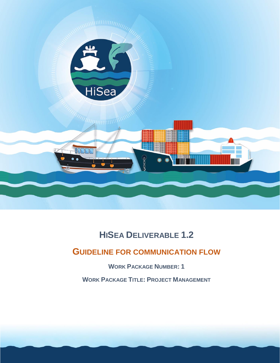

# **HISEA DELIVERABLE 1.2**

# **GUIDELINE FOR COMMUNICATION FLOW**

**WORK PACKAGE NUMBER: 1**

**WORK PACKAGE TITLE: PROJECT MANAGEMENT**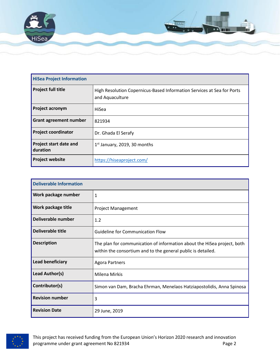

| <b>HiSea Project Information</b>          |                                                                                           |  |
|-------------------------------------------|-------------------------------------------------------------------------------------------|--|
| <b>Project full title</b>                 | High Resolution Copernicus-Based Information Services at Sea for Ports<br>and Aquaculture |  |
| <b>Project acronym</b>                    | HiSea                                                                                     |  |
| <b>Grant agreement number</b>             | 821934                                                                                    |  |
| <b>Project coordinator</b>                | Dr. Ghada El Serafy                                                                       |  |
| <b>Project start date and</b><br>duration | $1st$ January, 2019, 30 months                                                            |  |
| <b>Project website</b>                    | https://hiseaproject.com/                                                                 |  |

| <b>Deliverable Information</b>                                                          |                                                                                                                                         |  |
|-----------------------------------------------------------------------------------------|-----------------------------------------------------------------------------------------------------------------------------------------|--|
| Work package number                                                                     | 1                                                                                                                                       |  |
| Work package title                                                                      | <b>Project Management</b>                                                                                                               |  |
| Deliverable number                                                                      | 1.2                                                                                                                                     |  |
| <b>Deliverable title</b>                                                                | <b>Guideline for Communication Flow</b>                                                                                                 |  |
| <b>Description</b>                                                                      | The plan for communication of information about the HiSea project, both<br>within the consortium and to the general public is detailed. |  |
| Lead beneficiary<br><b>Agora Partners</b>                                               |                                                                                                                                         |  |
| Lead Author(s)<br>Milena Mirkis                                                         |                                                                                                                                         |  |
| Contributor(s)<br>Simon van Dam, Bracha Ehrman, Menelaos Hatziapostolidis, Anna Spinosa |                                                                                                                                         |  |
| <b>Revision number</b>                                                                  | 3                                                                                                                                       |  |
| <b>Revision Date</b><br>29 June, 2019                                                   |                                                                                                                                         |  |

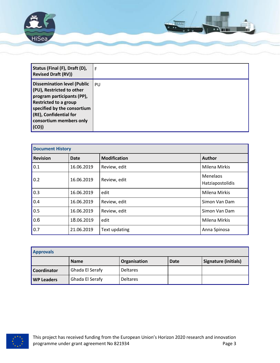

| Status (Final (F), Draft (D),<br><b>Revised Draft (RV))</b>                                                                                                                                                                 | F  |
|-----------------------------------------------------------------------------------------------------------------------------------------------------------------------------------------------------------------------------|----|
| <b>Dissemination level (Public</b><br>(PU), Restricted to other<br>program participants (PP),<br><b>Restricted to a group</b><br>specified by the consortium<br>(RE), Confidential for<br>consortium members only<br>  (CO) | PU |

| <b>Document History</b> |             |                     |                              |
|-------------------------|-------------|---------------------|------------------------------|
| <b>Revision</b>         | <b>Date</b> | <b>Modification</b> | Author                       |
| 10.1                    | 16.06.2019  | Review, edit        | Milena Mirkis                |
| 0.2                     | 16.06.2019  | Review, edit        | Menelaos<br>Hatziapostolidis |
| $\vert_{0.3}$           | 16.06.2019  | edit                | <b>Milena Mirkis</b>         |
| 0.4                     | 16.06.2019  | Review, edit        | Simon Van Dam                |
| $\vert$ 0.5             | 16.06.2019  | Review, edit        | Simon Van Dam                |
| 0.6                     | 18.06.2019  | edit                | <b>Milena Mirkis</b>         |
| $\vert_{0.7}$           | 21.06.2019  | Text updating       | Anna Spinosa                 |

| <b>Approvals</b>   |                 |                 |             |                      |
|--------------------|-----------------|-----------------|-------------|----------------------|
|                    | <b>Name</b>     | Organisation    | <b>Date</b> | Signature (initials) |
| <b>Coordinator</b> | Ghada El Serafy | <b>Deltares</b> |             |                      |
| <b>WP Leaders</b>  | Ghada El Serafy | <b>Deltares</b> |             |                      |

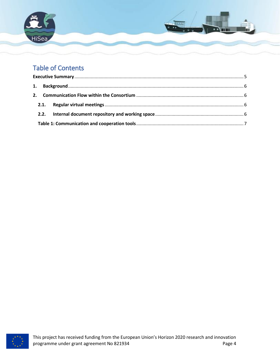

## Table of Contents

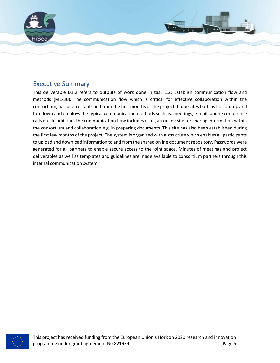

## <span id="page-4-0"></span>Executive Summary

<span id="page-4-1"></span>This deliverable D1.2 refers to outputs of work done in task 1.2: Establish communication flow and methods (M1-30). The communication flow which is critical for effective collaboration within the consortium, has been established from the first months of the project. It operates both as bottom-up and top-down and employs the typical communication methods such as: meetings, e-mail, phone conference calls etc. In addition, the communication flow includes using an online site for sharing information within the consortium and collaboration e.g. in preparing documents. This site has also been established during the first few months of the project. The system is organized with a structure which enables all participants to upload and download information to and from the shared online document repository. Passwords were generated for all partners to enable secure access to the joint space. Minutes of meetings and project deliverables as well as templates and guidelines are made available to consortium partners through this internal communication system.

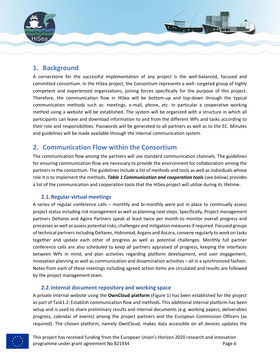

### **1. Background**

A cornerstone for the successful implementation of any project is the well-balanced, focused and committed consortium. In the HiSea project, the Consortium represents a well- targeted group of highly competent and experienced organizations, joining forces specifically for the purpose of this project. Therefore, the communication flow in HiSea will be bottom-up and top-down through the typical communication methods such as: meetings, e-mail, phone, etc. In particular a cooperative working method using a website will be established. The system will be organized with a structure in which all participants can leave and download information to and from the different WPs and tasks according to their role and responsibilities. Passwords will be generated to all partners as well as to the EC. Minutes and guidelines will be made available through the internal communication system.

### <span id="page-5-0"></span>**2. Communication Flow within the Consortium**

The communication flow among the partners will use standard communication channels. The guidelines for ensuring communication flow are necessary to provide the environment for collaboration among the partners in the consortium. The guidelines include a list of methods and tools as well as individuals whose role it is to implement the methods. *Table 1 Communication and cooperation tools* (see below) provides a list of the communication and cooperation tools that the HiSea project will utilize during its lifetime.

### <span id="page-5-1"></span>**2.1.Regular virtual meetings**

A series of regular conference calls – monthly and bi-monthly were put in place to continually assess project status including risk management as well as planning next steps. Specifically, Project management partners Deltares and Agora Partners speak at least twice per month to monitor overall progress and processes as well as assess potential risks, challenges and mitigation measures if required. Focused groups of technical partners including Deltares, Hidromod, Argans and Ascora, convene regularly to work on tasks together and update each other of progress as well as potential challenges. Monthly full partner conference calls are also scheduled to keep all partners appraised of progress, keeping the interfaces between WPs in mind, and plan activities regarding platform development, end user engagement, innovation planning as well as communication and dissemination activities – all in a synchronized fashion. Notes from each of these meetings including agreed action items are circulated and results are followed by the project management team.

### **2.2.Internal document repository and working space**

<span id="page-5-2"></span>A private internal website using the **OwnCloud platform** [\(Figure 1\)](#page-6-1) has been established for the project as part of Task1.2: Establish communication flow and methods. This additional internal platform has been setup and is used to share preliminary results and internal documents (e.g. working papers, deliverables progress, calendar of events) among the project partners and the European Commission Officers (as required). The chosen platform, namely OwnCloud, makes data accessible on all devices updates the

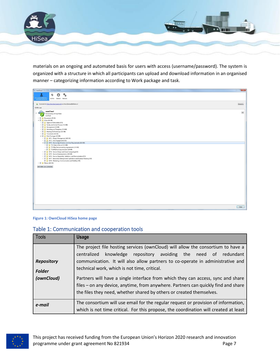

materials on an ongoing and automated basis for users with access (username/password). The system is organized with a structure in which all participants can upload and download information in an organised manner – categorizing information according to Work package and task.



#### <span id="page-6-1"></span>**Figure 1: OwnCloud HiSea home page**

#### <span id="page-6-0"></span>Table 1: Communication and cooperation tools

| <b>Tools</b>      | <b>Usage</b>                                                                         |  |  |
|-------------------|--------------------------------------------------------------------------------------|--|--|
|                   | The project file hosting services (ownCloud) will allow the consortium to have a     |  |  |
|                   | centralized knowledge repository avoiding the need of redundant                      |  |  |
| <b>Repository</b> | communication. It will also allow partners to co-operate in administrative and       |  |  |
| <b>Folder</b>     | technical work, which is not time, critical.                                         |  |  |
| (ownCloud)        | Partners will have a single interface from which they can access, sync and share     |  |  |
|                   | files - on any device, anytime, from anywhere. Partners can quickly find and share   |  |  |
|                   | the files they need, whether shared by others or created themselves.                 |  |  |
| e-mail            | The consortium will use email for the regular request or provision of information,   |  |  |
|                   | which is not time critical. For this propose, the coordination will created at least |  |  |

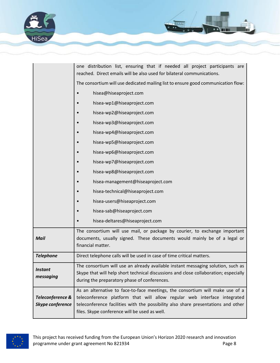

|                                      | one distribution list, ensuring that if needed all project participants are<br>reached. Direct emails will be also used for bilateral communications.                                                                                                                                           |  |
|--------------------------------------|-------------------------------------------------------------------------------------------------------------------------------------------------------------------------------------------------------------------------------------------------------------------------------------------------|--|
|                                      | The consortium will use dedicated mailing list to ensure good communication flow:                                                                                                                                                                                                               |  |
|                                      | hisea@hiseaproject.com                                                                                                                                                                                                                                                                          |  |
|                                      | hisea-wp1@hiseaproject.com                                                                                                                                                                                                                                                                      |  |
|                                      | hisea-wp2@hiseaproject.com                                                                                                                                                                                                                                                                      |  |
|                                      | hisea-wp3@hiseaproject.com                                                                                                                                                                                                                                                                      |  |
|                                      | hisea-wp4@hiseaproject.com                                                                                                                                                                                                                                                                      |  |
|                                      | hisea-wp5@hiseaproject.com                                                                                                                                                                                                                                                                      |  |
|                                      | hisea-wp6@hiseaproject.com                                                                                                                                                                                                                                                                      |  |
|                                      | hisea-wp7@hiseaproject.com                                                                                                                                                                                                                                                                      |  |
|                                      | hisea-wp8@hiseaproject.com                                                                                                                                                                                                                                                                      |  |
|                                      | hisea-management@hiseaproject.com                                                                                                                                                                                                                                                               |  |
|                                      | hisea-technical@hiseaproject.com                                                                                                                                                                                                                                                                |  |
|                                      | hisea-users@hiseaproject.com                                                                                                                                                                                                                                                                    |  |
|                                      | hisea-sab@hiseaproject.com                                                                                                                                                                                                                                                                      |  |
|                                      | hisea-deltares@hiseaproject.com                                                                                                                                                                                                                                                                 |  |
| <b>Mail</b>                          | The consortium will use mail, or package by courier, to exchange important<br>documents, usually signed. These documents would mainly be of a legal or<br>financial matter.                                                                                                                     |  |
| <b>Telephone</b>                     | Direct telephone calls will be used in case of time critical matters.                                                                                                                                                                                                                           |  |
| <b>Instant</b><br>messaging          | The consortium will use an already available instant messaging solution, such as<br>Skype that will help short technical discussions and close collaboration; especially<br>during the preparatory phase of conferences.                                                                        |  |
| Teleconference &<br>Skype conference | As an alternative to face-to-face meetings, the consortium will make use of a<br>teleconference platform that will allow regular web interface integrated<br>teleconference facilities with the possibility also share presentations and other<br>files. Skype conference will be used as well. |  |